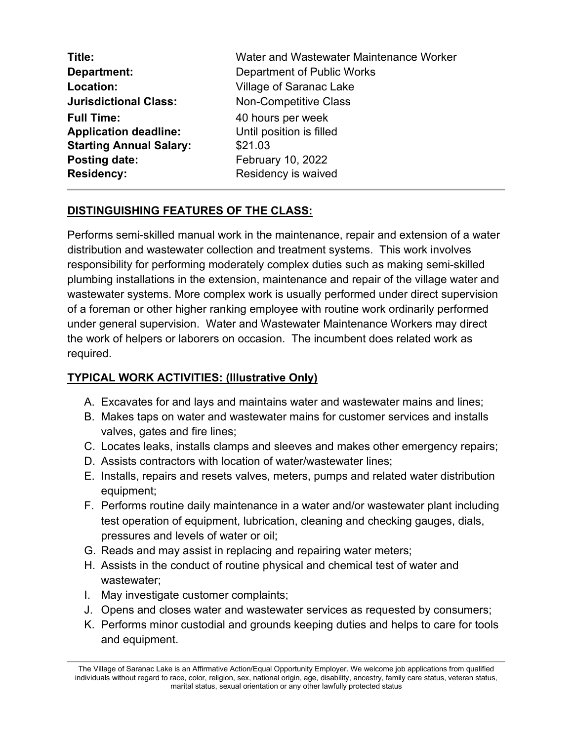| Title:                         | Water and Wastewater Maintenance Worker |
|--------------------------------|-----------------------------------------|
| Department:                    | Department of Public Works              |
| Location:                      | <b>Village of Saranac Lake</b>          |
| <b>Jurisdictional Class:</b>   | <b>Non-Competitive Class</b>            |
| <b>Full Time:</b>              | 40 hours per week                       |
| <b>Application deadline:</b>   | Until position is filled                |
| <b>Starting Annual Salary:</b> | \$21.03                                 |
| Posting date:                  | <b>February 10, 2022</b>                |
| <b>Residency:</b>              | Residency is waived                     |

# **DISTINGUISHING FEATURES OF THE CLASS:**

Performs semi-skilled manual work in the maintenance, repair and extension of a water distribution and wastewater collection and treatment systems. This work involves responsibility for performing moderately complex duties such as making semi-skilled plumbing installations in the extension, maintenance and repair of the village water and wastewater systems. More complex work is usually performed under direct supervision of a foreman or other higher ranking employee with routine work ordinarily performed under general supervision. Water and Wastewater Maintenance Workers may direct the work of helpers or laborers on occasion. The incumbent does related work as required.

### **TYPICAL WORK ACTIVITIES: (Illustrative Only)**

- A. Excavates for and lays and maintains water and wastewater mains and lines;
- B. Makes taps on water and wastewater mains for customer services and installs valves, gates and fire lines;
- C. Locates leaks, installs clamps and sleeves and makes other emergency repairs;
- D. Assists contractors with location of water/wastewater lines;
- E. Installs, repairs and resets valves, meters, pumps and related water distribution equipment;
- F. Performs routine daily maintenance in a water and/or wastewater plant including test operation of equipment, lubrication, cleaning and checking gauges, dials, pressures and levels of water or oil;
- G. Reads and may assist in replacing and repairing water meters;
- H. Assists in the conduct of routine physical and chemical test of water and wastewater;
- I. May investigate customer complaints;
- J. Opens and closes water and wastewater services as requested by consumers;
- K. Performs minor custodial and grounds keeping duties and helps to care for tools and equipment.

The Village of Saranac Lake is an Affirmative Action/Equal Opportunity Employer. We welcome job applications from qualified individuals without regard to race, color, religion, sex, national origin, age, disability, ancestry, family care status, veteran status, marital status, sexual orientation or any other lawfully protected status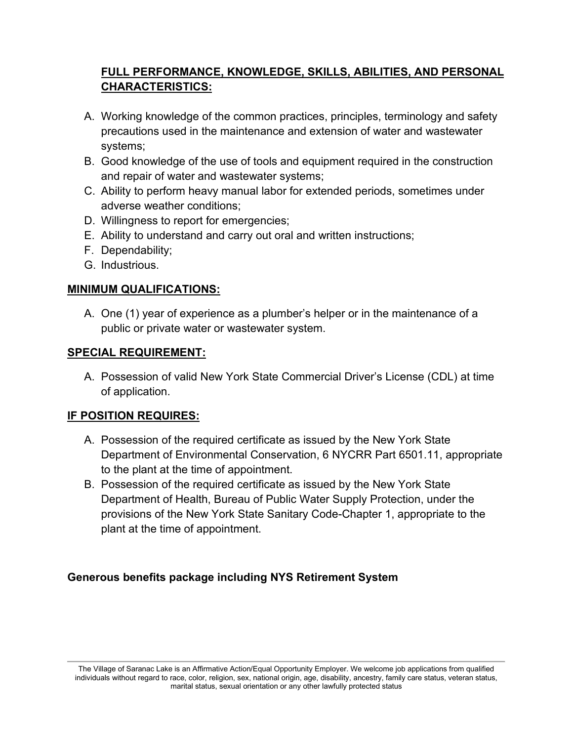# **FULL PERFORMANCE, KNOWLEDGE, SKILLS, ABILITIES, AND PERSONAL CHARACTERISTICS:**

- A. Working knowledge of the common practices, principles, terminology and safety precautions used in the maintenance and extension of water and wastewater systems;
- B. Good knowledge of the use of tools and equipment required in the construction and repair of water and wastewater systems;
- C. Ability to perform heavy manual labor for extended periods, sometimes under adverse weather conditions;
- D. Willingness to report for emergencies;
- E. Ability to understand and carry out oral and written instructions;
- F. Dependability;
- G. Industrious.

# **MINIMUM QUALIFICATIONS:**

A. One (1) year of experience as a plumber's helper or in the maintenance of a public or private water or wastewater system.

#### **SPECIAL REQUIREMENT:**

A. Possession of valid New York State Commercial Driver's License (CDL) at time of application.

### **IF POSITION REQUIRES:**

- A. Possession of the required certificate as issued by the New York State Department of Environmental Conservation, 6 NYCRR Part 6501.11, appropriate to the plant at the time of appointment.
- B. Possession of the required certificate as issued by the New York State Department of Health, Bureau of Public Water Supply Protection, under the provisions of the New York State Sanitary Code-Chapter 1, appropriate to the plant at the time of appointment.

# **Generous benefits package including NYS Retirement System**

The Village of Saranac Lake is an Affirmative Action/Equal Opportunity Employer. We welcome job applications from qualified individuals without regard to race, color, religion, sex, national origin, age, disability, ancestry, family care status, veteran status, marital status, sexual orientation or any other lawfully protected status